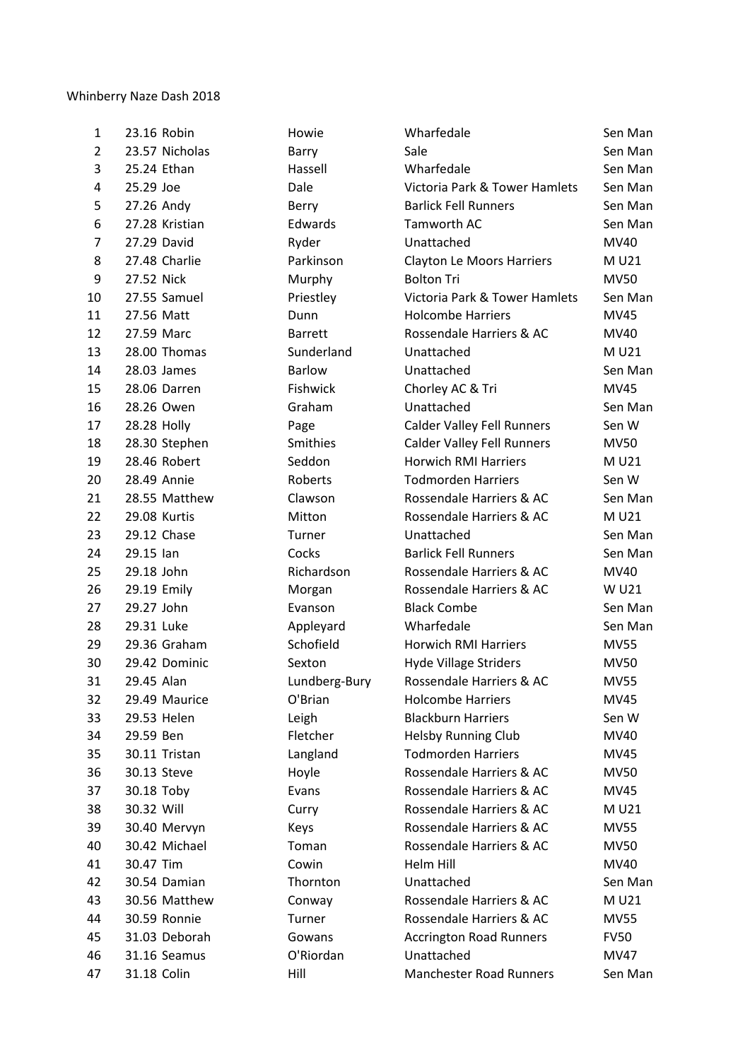## Whinberry Naze Dash 2018

| 1              | 23.16 Robin    | Howie          | Wharfedale                        | Sen Man     |
|----------------|----------------|----------------|-----------------------------------|-------------|
| $\overline{2}$ | 23.57 Nicholas | Barry          | Sale                              | Sen Man     |
| 3              | 25.24 Ethan    | Hassell        | Wharfedale                        | Sen Man     |
| 4              | 25.29 Joe      | Dale           | Victoria Park & Tower Hamlets     | Sen Man     |
| 5              | 27.26 Andy     | Berry          | <b>Barlick Fell Runners</b>       | Sen Man     |
| 6              | 27.28 Kristian | Edwards        | Tamworth AC                       | Sen Man     |
| $\overline{7}$ | 27.29 David    | Ryder          | Unattached                        | MV40        |
| 8              | 27.48 Charlie  | Parkinson      | <b>Clayton Le Moors Harriers</b>  | M U21       |
| 9              | 27.52 Nick     | Murphy         | <b>Bolton Tri</b>                 | <b>MV50</b> |
| 10             | 27.55 Samuel   | Priestley      | Victoria Park & Tower Hamlets     | Sen Man     |
| 11             | 27.56 Matt     | Dunn           | <b>Holcombe Harriers</b>          | MV45        |
| 12             | 27.59 Marc     | <b>Barrett</b> | Rossendale Harriers & AC          | MV40        |
| 13             | 28.00 Thomas   | Sunderland     | Unattached                        | M U21       |
| 14             | 28.03 James    | <b>Barlow</b>  | Unattached                        | Sen Man     |
| 15             | 28.06 Darren   | Fishwick       | Chorley AC & Tri                  | <b>MV45</b> |
| 16             | 28.26 Owen     | Graham         | Unattached                        | Sen Man     |
| 17             | 28.28 Holly    | Page           | <b>Calder Valley Fell Runners</b> | Sen W       |
| 18             | 28.30 Stephen  | Smithies       | <b>Calder Valley Fell Runners</b> | <b>MV50</b> |
| 19             | 28.46 Robert   | Seddon         | <b>Horwich RMI Harriers</b>       | M U21       |
| 20             | 28.49 Annie    | Roberts        | <b>Todmorden Harriers</b>         | Sen W       |
| 21             | 28.55 Matthew  | Clawson        | Rossendale Harriers & AC          | Sen Man     |
| 22             | 29.08 Kurtis   | Mitton         | Rossendale Harriers & AC          | M U21       |
| 23             | 29.12 Chase    | Turner         | Unattached                        | Sen Man     |
| 24             | 29.15 lan      | Cocks          | <b>Barlick Fell Runners</b>       | Sen Man     |
| 25             | 29.18 John     | Richardson     | Rossendale Harriers & AC          | MV40        |
| 26             | 29.19 Emily    | Morgan         | Rossendale Harriers & AC          | W U21       |
| 27             | 29.27 John     | Evanson        | <b>Black Combe</b>                | Sen Man     |
| 28             | 29.31 Luke     | Appleyard      | Wharfedale                        | Sen Man     |
| 29             | 29.36 Graham   | Schofield      | <b>Horwich RMI Harriers</b>       | <b>MV55</b> |
| 30             | 29.42 Dominic  | Sexton         | <b>Hyde Village Striders</b>      | <b>MV50</b> |
| 31             | 29.45 Alan     | Lundberg-Bury  | Rossendale Harriers & AC          | <b>MV55</b> |
| 32             | 29.49 Maurice  | O'Brian        | <b>Holcombe Harriers</b>          | MV45        |
| 33             | 29.53 Helen    | Leigh          | <b>Blackburn Harriers</b>         | Sen W       |
| 34             | 29.59 Ben      | Fletcher       | <b>Helsby Running Club</b>        | MV40        |
| 35             | 30.11 Tristan  | Langland       | <b>Todmorden Harriers</b>         | <b>MV45</b> |
| 36             | 30.13 Steve    | Hoyle          | Rossendale Harriers & AC          | <b>MV50</b> |
| 37             | 30.18 Toby     | Evans          | Rossendale Harriers & AC          | <b>MV45</b> |
| 38             | 30.32 Will     | Curry          | Rossendale Harriers & AC          | M U21       |
| 39             | 30.40 Mervyn   | Keys           | Rossendale Harriers & AC          | <b>MV55</b> |
| 40             | 30.42 Michael  | Toman          | Rossendale Harriers & AC          | <b>MV50</b> |
| 41             | 30.47 Tim      | Cowin          | Helm Hill                         | MV40        |
| 42             | 30.54 Damian   | Thornton       | Unattached                        | Sen Man     |
| 43             | 30.56 Matthew  | Conway         | Rossendale Harriers & AC          | M U21       |
| 44             | 30.59 Ronnie   | Turner         | Rossendale Harriers & AC          | <b>MV55</b> |
| 45             | 31.03 Deborah  | Gowans         | <b>Accrington Road Runners</b>    | <b>FV50</b> |
| 46             | 31.16 Seamus   | O'Riordan      | Unattached                        | <b>MV47</b> |
| 47             | 31.18 Colin    | Hill           | <b>Manchester Road Runners</b>    | Sen Man     |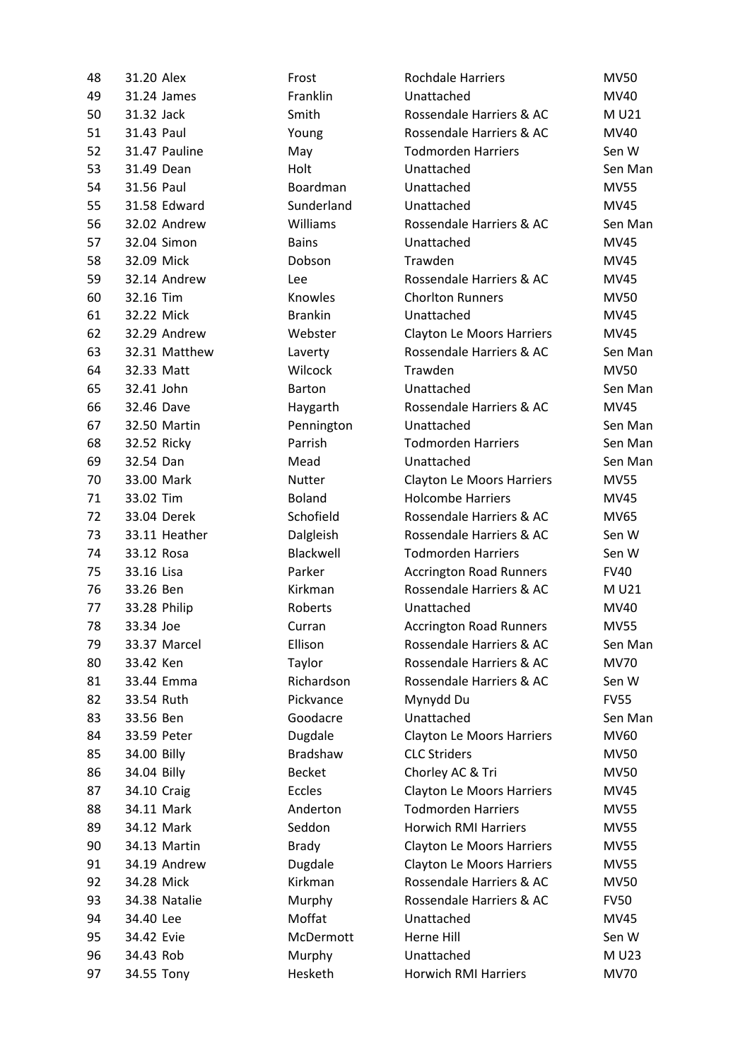| 48 | 31.20 Alex    | Frost          | <b>Rochdale Harriers</b>         | <b>MV50</b> |
|----|---------------|----------------|----------------------------------|-------------|
| 49 | 31.24 James   | Franklin       | Unattached                       | MV40        |
| 50 | 31.32 Jack    | Smith          | Rossendale Harriers & AC         | M U21       |
| 51 | 31.43 Paul    | Young          | Rossendale Harriers & AC         | MV40        |
| 52 | 31.47 Pauline | May            | <b>Todmorden Harriers</b>        | Sen W       |
| 53 | 31.49 Dean    | Holt           | Unattached                       | Sen Man     |
| 54 | 31.56 Paul    | Boardman       | Unattached                       | <b>MV55</b> |
| 55 | 31.58 Edward  | Sunderland     | Unattached                       | MV45        |
| 56 | 32.02 Andrew  | Williams       | Rossendale Harriers & AC         | Sen Man     |
| 57 | 32.04 Simon   | <b>Bains</b>   | Unattached                       | <b>MV45</b> |
| 58 | 32.09 Mick    | Dobson         | Trawden                          | MV45        |
| 59 | 32.14 Andrew  | Lee            | Rossendale Harriers & AC         | MV45        |
| 60 | 32.16 Tim     | Knowles        | <b>Chorlton Runners</b>          | <b>MV50</b> |
| 61 | 32.22 Mick    | <b>Brankin</b> | Unattached                       | MV45        |
| 62 | 32.29 Andrew  | Webster        | <b>Clayton Le Moors Harriers</b> | MV45        |
| 63 | 32.31 Matthew | Laverty        | Rossendale Harriers & AC         | Sen Man     |
| 64 | 32.33 Matt    | Wilcock        | Trawden                          | <b>MV50</b> |
| 65 | 32.41 John    | <b>Barton</b>  | Unattached                       | Sen Man     |
| 66 | 32.46 Dave    | Haygarth       | Rossendale Harriers & AC         | MV45        |
| 67 | 32.50 Martin  | Pennington     | Unattached                       | Sen Man     |
| 68 | 32.52 Ricky   | Parrish        | <b>Todmorden Harriers</b>        | Sen Man     |
| 69 | 32.54 Dan     | Mead           | Unattached                       | Sen Man     |
| 70 | 33.00 Mark    | Nutter         | <b>Clayton Le Moors Harriers</b> | <b>MV55</b> |
| 71 | 33.02 Tim     | <b>Boland</b>  | <b>Holcombe Harriers</b>         | MV45        |
| 72 | 33.04 Derek   | Schofield      | Rossendale Harriers & AC         | MV65        |
| 73 | 33.11 Heather | Dalgleish      | Rossendale Harriers & AC         | Sen W       |
| 74 | 33.12 Rosa    | Blackwell      | <b>Todmorden Harriers</b>        | Sen W       |
| 75 | 33.16 Lisa    | Parker         | <b>Accrington Road Runners</b>   | <b>FV40</b> |
| 76 | 33.26 Ben     | Kirkman        | Rossendale Harriers & AC         | M U21       |
| 77 | 33.28 Philip  | Roberts        | Unattached                       | MV40        |
| 78 | 33.34 Joe     | Curran         | <b>Accrington Road Runners</b>   | <b>MV55</b> |
| 79 | 33.37 Marcel  | Ellison        | Rossendale Harriers & AC         | Sen Man     |
| 80 | 33.42 Ken     | Taylor         | Rossendale Harriers & AC         | <b>MV70</b> |
| 81 | 33.44 Emma    | Richardson     | Rossendale Harriers & AC         | Sen W       |
| 82 | 33.54 Ruth    | Pickvance      | Mynydd Du                        | <b>FV55</b> |
| 83 | 33.56 Ben     | Goodacre       | Unattached                       | Sen Man     |
| 84 | 33.59 Peter   | Dugdale        | <b>Clayton Le Moors Harriers</b> | MV60        |
| 85 | 34.00 Billy   | Bradshaw       | <b>CLC Striders</b>              | <b>MV50</b> |
| 86 | 34.04 Billy   | <b>Becket</b>  | Chorley AC & Tri                 | <b>MV50</b> |
| 87 | 34.10 Craig   | Eccles         | Clayton Le Moors Harriers        | MV45        |
| 88 | 34.11 Mark    | Anderton       | <b>Todmorden Harriers</b>        | <b>MV55</b> |
| 89 | 34.12 Mark    | Seddon         | <b>Horwich RMI Harriers</b>      | <b>MV55</b> |
| 90 | 34.13 Martin  | <b>Brady</b>   | <b>Clayton Le Moors Harriers</b> | <b>MV55</b> |
| 91 | 34.19 Andrew  | Dugdale        | <b>Clayton Le Moors Harriers</b> | <b>MV55</b> |
| 92 | 34.28 Mick    | Kirkman        | Rossendale Harriers & AC         | <b>MV50</b> |
| 93 | 34.38 Natalie | Murphy         | Rossendale Harriers & AC         | <b>FV50</b> |
| 94 | 34.40 Lee     | Moffat         | Unattached                       | MV45        |
| 95 | 34.42 Evie    | McDermott      | Herne Hill                       | Sen W       |
| 96 | 34.43 Rob     | Murphy         | Unattached                       | M U23       |
| 97 | 34.55 Tony    | Hesketh        | <b>Horwich RMI Harriers</b>      | <b>MV70</b> |
|    |               |                |                                  |             |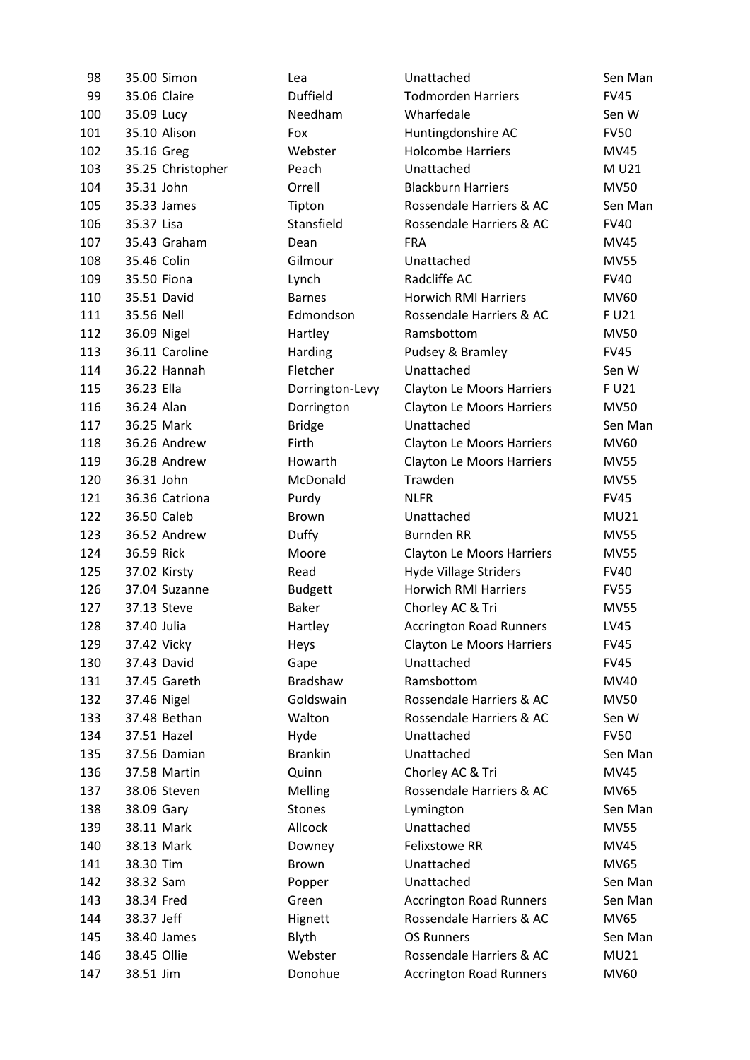| 98  | 35.00 Simon       | Lea             | Unattached                       | Sen Man     |
|-----|-------------------|-----------------|----------------------------------|-------------|
| 99  | 35.06 Claire      | <b>Duffield</b> | <b>Todmorden Harriers</b>        | <b>FV45</b> |
| 100 | 35.09 Lucy        | Needham         | Wharfedale                       | Sen W       |
| 101 | 35.10 Alison      | Fox             | Huntingdonshire AC               | <b>FV50</b> |
| 102 | 35.16 Greg        | Webster         | <b>Holcombe Harriers</b>         | <b>MV45</b> |
| 103 | 35.25 Christopher | Peach           | Unattached                       | M U21       |
| 104 | 35.31 John        | Orrell          | <b>Blackburn Harriers</b>        | <b>MV50</b> |
| 105 | 35.33 James       | Tipton          | Rossendale Harriers & AC         | Sen Man     |
| 106 | 35.37 Lisa        | Stansfield      | Rossendale Harriers & AC         | <b>FV40</b> |
| 107 | 35.43 Graham      | Dean            | <b>FRA</b>                       | MV45        |
| 108 | 35.46 Colin       | Gilmour         | Unattached                       | <b>MV55</b> |
| 109 | 35.50 Fiona       | Lynch           | Radcliffe AC                     | <b>FV40</b> |
| 110 | 35.51 David       | <b>Barnes</b>   | <b>Horwich RMI Harriers</b>      | MV60        |
| 111 | 35.56 Nell        | Edmondson       | Rossendale Harriers & AC         | F U21       |
| 112 | 36.09 Nigel       | Hartley         | Ramsbottom                       | <b>MV50</b> |
| 113 | 36.11 Caroline    | Harding         | Pudsey & Bramley                 | <b>FV45</b> |
| 114 | 36.22 Hannah      | Fletcher        | Unattached                       | Sen W       |
| 115 | 36.23 Ella        | Dorrington-Levy | Clayton Le Moors Harriers        | F U21       |
| 116 | 36.24 Alan        | Dorrington      | <b>Clayton Le Moors Harriers</b> | <b>MV50</b> |
| 117 | 36.25 Mark        | <b>Bridge</b>   | Unattached                       | Sen Man     |
| 118 | 36.26 Andrew      | Firth           | <b>Clayton Le Moors Harriers</b> | MV60        |
| 119 | 36.28 Andrew      | Howarth         | <b>Clayton Le Moors Harriers</b> | <b>MV55</b> |
| 120 | 36.31 John        | McDonald        | Trawden                          | <b>MV55</b> |
| 121 | 36.36 Catriona    | Purdy           | <b>NLFR</b>                      | <b>FV45</b> |
| 122 | 36.50 Caleb       | <b>Brown</b>    | Unattached                       | MU21        |
| 123 | 36.52 Andrew      | Duffy           | <b>Burnden RR</b>                | <b>MV55</b> |
| 124 | 36.59 Rick        | Moore           | <b>Clayton Le Moors Harriers</b> | <b>MV55</b> |
| 125 | 37.02 Kirsty      | Read            | <b>Hyde Village Striders</b>     | <b>FV40</b> |
| 126 | 37.04 Suzanne     | <b>Budgett</b>  | <b>Horwich RMI Harriers</b>      | <b>FV55</b> |
| 127 | 37.13 Steve       | <b>Baker</b>    | Chorley AC & Tri                 | <b>MV55</b> |
| 128 | 37.40 Julia       | Hartley         | <b>Accrington Road Runners</b>   | <b>LV45</b> |
| 129 | 37.42 Vicky       | Heys            | <b>Clayton Le Moors Harriers</b> | <b>FV45</b> |
| 130 | 37.43 David       | Gape            | Unattached                       | <b>FV45</b> |
| 131 | 37.45 Gareth      | Bradshaw        | Ramsbottom                       | MV40        |
| 132 | 37.46 Nigel       | Goldswain       | Rossendale Harriers & AC         | <b>MV50</b> |
| 133 | 37.48 Bethan      | Walton          | Rossendale Harriers & AC         | Sen W       |
| 134 | 37.51 Hazel       | Hyde            | Unattached                       | <b>FV50</b> |
| 135 | 37.56 Damian      | <b>Brankin</b>  | Unattached                       | Sen Man     |
| 136 | 37.58 Martin      | Quinn           | Chorley AC & Tri                 | <b>MV45</b> |
| 137 | 38.06 Steven      | Melling         | Rossendale Harriers & AC         | MV65        |
| 138 | 38.09 Gary        | <b>Stones</b>   | Lymington                        | Sen Man     |
| 139 | 38.11 Mark        | Allcock         | Unattached                       | <b>MV55</b> |
| 140 | 38.13 Mark        | Downey          | <b>Felixstowe RR</b>             | MV45        |
| 141 | 38.30 Tim         | Brown           | Unattached                       | MV65        |
| 142 | 38.32 Sam         | Popper          | Unattached                       | Sen Man     |
| 143 | 38.34 Fred        | Green           | <b>Accrington Road Runners</b>   | Sen Man     |
| 144 | 38.37 Jeff        | Hignett         | Rossendale Harriers & AC         | MV65        |
| 145 | 38.40 James       | Blyth           | <b>OS Runners</b>                | Sen Man     |
| 146 | 38.45 Ollie       | Webster         | Rossendale Harriers & AC         | MU21        |
| 147 | 38.51 Jim         | Donohue         | <b>Accrington Road Runners</b>   | MV60        |
|     |                   |                 |                                  |             |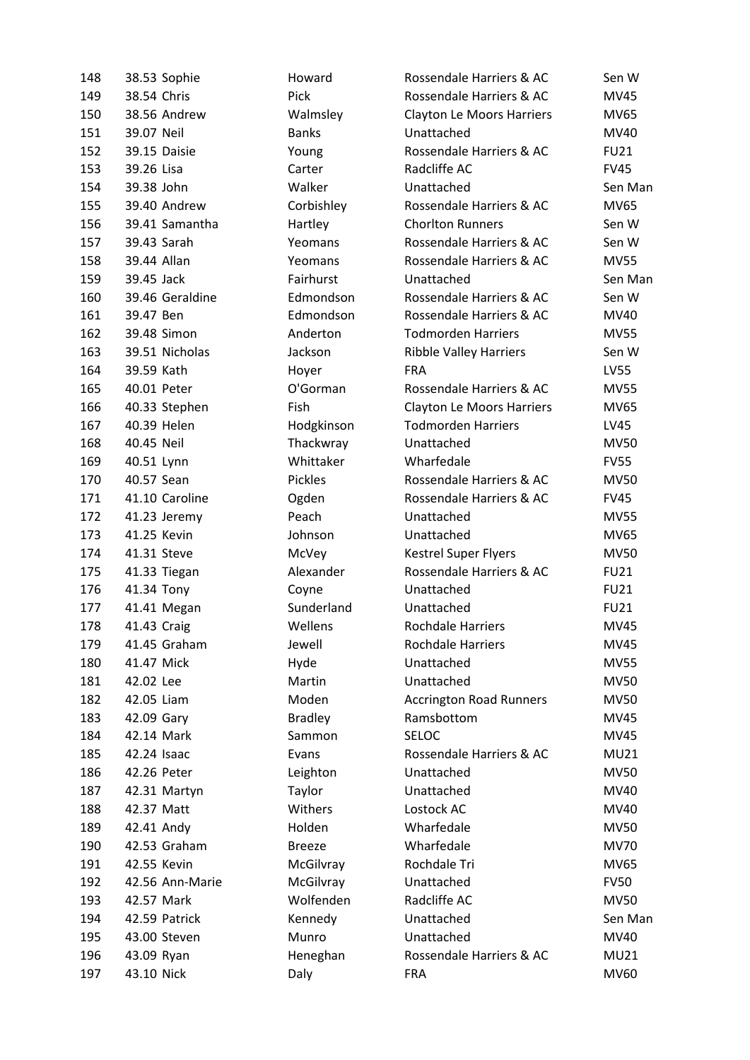| 148 | 38.53 Sophie    | Howard         | Rossendale Harriers & AC         | Sen W       |
|-----|-----------------|----------------|----------------------------------|-------------|
| 149 | 38.54 Chris     | Pick           | Rossendale Harriers & AC         | <b>MV45</b> |
| 150 | 38.56 Andrew    | Walmsley       | <b>Clayton Le Moors Harriers</b> | MV65        |
| 151 | 39.07 Neil      | <b>Banks</b>   | Unattached                       | MV40        |
| 152 | 39.15 Daisie    | Young          | Rossendale Harriers & AC         | <b>FU21</b> |
| 153 | 39.26 Lisa      | Carter         | Radcliffe AC                     | <b>FV45</b> |
| 154 | 39.38 John      | Walker         | Unattached                       | Sen Man     |
| 155 | 39.40 Andrew    | Corbishley     | Rossendale Harriers & AC         | MV65        |
| 156 | 39.41 Samantha  | Hartley        | <b>Chorlton Runners</b>          | Sen W       |
| 157 | 39.43 Sarah     | Yeomans        | Rossendale Harriers & AC         | Sen W       |
| 158 | 39.44 Allan     | Yeomans        | Rossendale Harriers & AC         | <b>MV55</b> |
| 159 | 39.45 Jack      | Fairhurst      | Unattached                       | Sen Man     |
| 160 | 39.46 Geraldine | Edmondson      | Rossendale Harriers & AC         | Sen W       |
| 161 | 39.47 Ben       | Edmondson      | Rossendale Harriers & AC         | MV40        |
| 162 | 39.48 Simon     | Anderton       | <b>Todmorden Harriers</b>        | <b>MV55</b> |
| 163 | 39.51 Nicholas  | Jackson        | <b>Ribble Valley Harriers</b>    | Sen W       |
| 164 | 39.59 Kath      | Hoyer          | <b>FRA</b>                       | LV55        |
| 165 | 40.01 Peter     | O'Gorman       | Rossendale Harriers & AC         | MV55        |
| 166 | 40.33 Stephen   | Fish           | <b>Clayton Le Moors Harriers</b> | MV65        |
| 167 | 40.39 Helen     | Hodgkinson     | <b>Todmorden Harriers</b>        | LV45        |
| 168 | 40.45 Neil      | Thackwray      | Unattached                       | MV50        |
| 169 | 40.51 Lynn      | Whittaker      | Wharfedale                       | <b>FV55</b> |
| 170 | 40.57 Sean      | Pickles        | Rossendale Harriers & AC         | <b>MV50</b> |
| 171 | 41.10 Caroline  | Ogden          | Rossendale Harriers & AC         | <b>FV45</b> |
| 172 | 41.23 Jeremy    | Peach          | Unattached                       | <b>MV55</b> |
| 173 | 41.25 Kevin     | Johnson        | Unattached                       | <b>MV65</b> |
| 174 | 41.31 Steve     | McVey          | <b>Kestrel Super Flyers</b>      | <b>MV50</b> |
| 175 | 41.33 Tiegan    | Alexander      | Rossendale Harriers & AC         | <b>FU21</b> |
| 176 | 41.34 Tony      | Coyne          | Unattached                       | <b>FU21</b> |
| 177 | 41.41 Megan     | Sunderland     | Unattached                       | <b>FU21</b> |
| 178 | 41.43 Craig     | Wellens        | <b>Rochdale Harriers</b>         | MV45        |
| 179 | 41.45 Graham    | Jewell         | <b>Rochdale Harriers</b>         | MV45        |
| 180 | 41.47 Mick      | Hyde           | Unattached                       | <b>MV55</b> |
| 181 | 42.02 Lee       | Martin         | Unattached                       | <b>MV50</b> |
| 182 | 42.05 Liam      | Moden          | <b>Accrington Road Runners</b>   | <b>MV50</b> |
| 183 | 42.09 Gary      | <b>Bradley</b> | Ramsbottom                       | <b>MV45</b> |
| 184 | 42.14 Mark      | Sammon         | <b>SELOC</b>                     | <b>MV45</b> |
| 185 | 42.24 Isaac     | Evans          | Rossendale Harriers & AC         | <b>MU21</b> |
| 186 | 42.26 Peter     | Leighton       | Unattached                       | <b>MV50</b> |
| 187 | 42.31 Martyn    | Taylor         | Unattached                       | MV40        |
| 188 | 42.37 Matt      | Withers        | Lostock AC                       | MV40        |
| 189 | 42.41 Andy      | Holden         | Wharfedale                       | <b>MV50</b> |
| 190 | 42.53 Graham    | <b>Breeze</b>  | Wharfedale                       | <b>MV70</b> |
| 191 | 42.55 Kevin     | McGilvray      | Rochdale Tri                     | <b>MV65</b> |
| 192 | 42.56 Ann-Marie | McGilvray      | Unattached                       | <b>FV50</b> |
| 193 | 42.57 Mark      | Wolfenden      | Radcliffe AC                     | <b>MV50</b> |
| 194 | 42.59 Patrick   | Kennedy        | Unattached                       | Sen Man     |
| 195 | 43.00 Steven    | Munro          | Unattached                       | MV40        |
| 196 | 43.09 Ryan      | Heneghan       | Rossendale Harriers & AC         | MU21        |
| 197 | 43.10 Nick      | Daly           | <b>FRA</b>                       | MV60        |
|     |                 |                |                                  |             |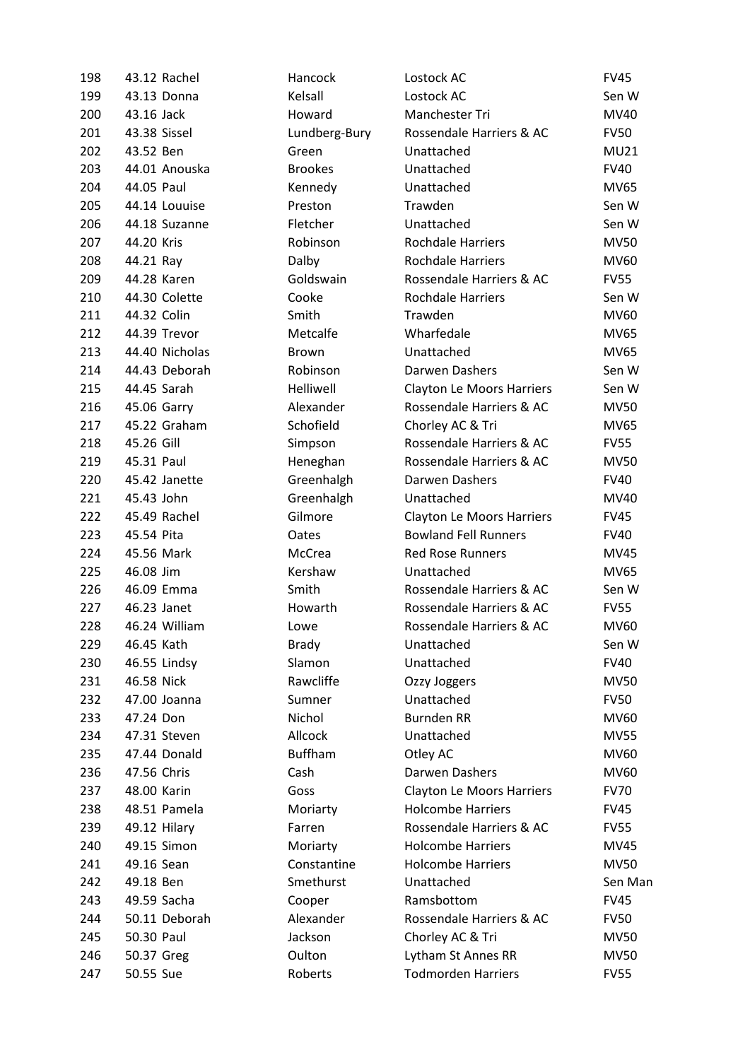| 198 | 43.12 Rachel   | Hancock        | Lostock AC                       | <b>FV45</b> |
|-----|----------------|----------------|----------------------------------|-------------|
| 199 | 43.13 Donna    | Kelsall        | Lostock AC                       | Sen W       |
| 200 | 43.16 Jack     | Howard         | Manchester Tri                   | MV40        |
| 201 | 43.38 Sissel   | Lundberg-Bury  | Rossendale Harriers & AC         | <b>FV50</b> |
| 202 | 43.52 Ben      | Green          | Unattached                       | <b>MU21</b> |
| 203 | 44.01 Anouska  | <b>Brookes</b> | Unattached                       | <b>FV40</b> |
| 204 | 44.05 Paul     | Kennedy        | Unattached                       | <b>MV65</b> |
| 205 | 44.14 Louuise  | Preston        | Trawden                          | Sen W       |
| 206 | 44.18 Suzanne  | Fletcher       | Unattached                       | Sen W       |
| 207 | 44.20 Kris     | Robinson       | <b>Rochdale Harriers</b>         | <b>MV50</b> |
| 208 | 44.21 Ray      | Dalby          | <b>Rochdale Harriers</b>         | MV60        |
| 209 | 44.28 Karen    | Goldswain      | Rossendale Harriers & AC         | <b>FV55</b> |
| 210 | 44.30 Colette  | Cooke          | <b>Rochdale Harriers</b>         | Sen W       |
| 211 | 44.32 Colin    | Smith          | Trawden                          | MV60        |
| 212 | 44.39 Trevor   | Metcalfe       | Wharfedale                       | MV65        |
| 213 | 44.40 Nicholas | <b>Brown</b>   | Unattached                       | MV65        |
| 214 | 44.43 Deborah  | Robinson       | Darwen Dashers                   | Sen W       |
| 215 | 44.45 Sarah    | Helliwell      | <b>Clayton Le Moors Harriers</b> | Sen W       |
| 216 | 45.06 Garry    | Alexander      | Rossendale Harriers & AC         | <b>MV50</b> |
| 217 | 45.22 Graham   | Schofield      | Chorley AC & Tri                 | MV65        |
| 218 | 45.26 Gill     | Simpson        | Rossendale Harriers & AC         | <b>FV55</b> |
| 219 | 45.31 Paul     | Heneghan       | Rossendale Harriers & AC         | MV50        |
| 220 | 45.42 Janette  | Greenhalgh     | Darwen Dashers                   | <b>FV40</b> |
| 221 | 45.43 John     | Greenhalgh     | Unattached                       | MV40        |
| 222 | 45.49 Rachel   | Gilmore        | <b>Clayton Le Moors Harriers</b> | <b>FV45</b> |
| 223 | 45.54 Pita     | Oates          | <b>Bowland Fell Runners</b>      | <b>FV40</b> |
| 224 | 45.56 Mark     | McCrea         | <b>Red Rose Runners</b>          | MV45        |
| 225 | 46.08 Jim      | Kershaw        | Unattached                       | MV65        |
| 226 | 46.09 Emma     | Smith          | Rossendale Harriers & AC         | Sen W       |
| 227 | 46.23 Janet    | Howarth        | Rossendale Harriers & AC         | <b>FV55</b> |
| 228 | 46.24 William  | Lowe           | Rossendale Harriers & AC         | MV60        |
| 229 | 46.45 Kath     | <b>Brady</b>   | Unattached                       | Sen W       |
| 230 | 46.55 Lindsy   | Slamon         | Unattached                       | <b>FV40</b> |
| 231 | 46.58 Nick     | Rawcliffe      | Ozzy Joggers                     | <b>MV50</b> |
| 232 | 47.00 Joanna   | Sumner         | Unattached                       | <b>FV50</b> |
| 233 | 47.24 Don      | Nichol         | <b>Burnden RR</b>                | MV60        |
| 234 | 47.31 Steven   | Allcock        | Unattached                       | <b>MV55</b> |
| 235 | 47.44 Donald   | <b>Buffham</b> | Otley AC                         | MV60        |
| 236 | 47.56 Chris    | Cash           | Darwen Dashers                   | MV60        |
| 237 | 48.00 Karin    | Goss           | <b>Clayton Le Moors Harriers</b> | <b>FV70</b> |
| 238 | 48.51 Pamela   | Moriarty       | <b>Holcombe Harriers</b>         | <b>FV45</b> |
| 239 | 49.12 Hilary   | Farren         | Rossendale Harriers & AC         | <b>FV55</b> |
| 240 | 49.15 Simon    | Moriarty       | <b>Holcombe Harriers</b>         | <b>MV45</b> |
| 241 | 49.16 Sean     | Constantine    | <b>Holcombe Harriers</b>         | <b>MV50</b> |
| 242 | 49.18 Ben      | Smethurst      | Unattached                       | Sen Man     |
| 243 | 49.59 Sacha    | Cooper         | Ramsbottom                       | <b>FV45</b> |
| 244 | 50.11 Deborah  | Alexander      | Rossendale Harriers & AC         | <b>FV50</b> |
| 245 | 50.30 Paul     | Jackson        | Chorley AC & Tri                 | MV50        |
| 246 | 50.37 Greg     | Oulton         | Lytham St Annes RR               | <b>MV50</b> |
| 247 | 50.55 Sue      | Roberts        | <b>Todmorden Harriers</b>        | <b>FV55</b> |
|     |                |                |                                  |             |